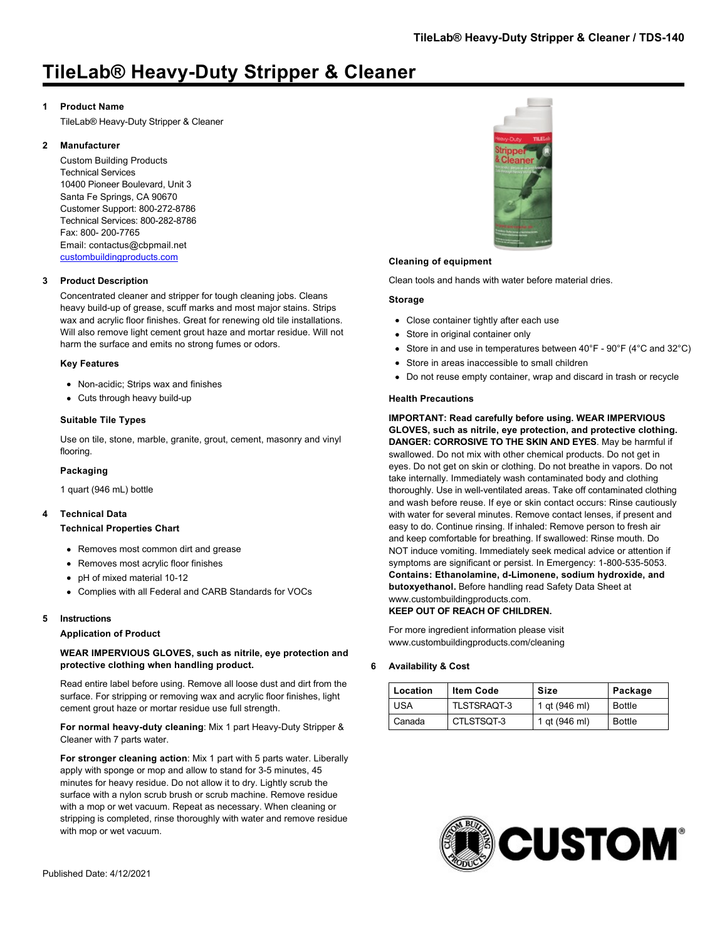# **TileLab® Heavy-Duty Stripper & Cleaner**

## **1 Product Name**

TileLab® Heavy-Duty Stripper & Cleaner

# **2 Manufacturer**

Custom Building Products Technical Services 10400 Pioneer Boulevard, Unit 3 Santa Fe Springs, CA 90670 Customer Support: 800-272-8786 Technical Services: 800-282-8786 Fax: 800- 200-7765 Email: contactus@cbpmail.net [custombuildingproducts.com](http://www.custombuildingproducts.com)

# **3 Product Description**

Concentrated cleaner and stripper for tough cleaning jobs. Cleans heavy build-up of grease, scuff marks and most major stains. Strips wax and acrylic floor finishes. Great for renewing old tile installations. Will also remove light cement grout haze and mortar residue. Will not harm the surface and emits no strong fumes or odors.

## **Key Features**

- Non-acidic; Strips wax and finishes
- Cuts through heavy build-up

## **Suitable Tile Types**

Use on tile, stone, marble, granite, grout, cement, masonry and vinyl flooring.

#### **Packaging**

1 quart (946 mL) bottle

# **4 Technical Data**

#### **Technical Properties Chart**

- Removes most common dirt and grease
- Removes most acrylic floor finishes
- pH of mixed material 10-12
- Complies with all Federal and CARB Standards for VOCs

## **5 Instructions**

#### **Application of Product**

# **WEAR IMPERVIOUS GLOVES, such as nitrile, eye protection and protective clothing when handling product.**

Read entire label before using. Remove all loose dust and dirt from the surface. For stripping or removing wax and acrylic floor finishes, light cement grout haze or mortar residue use full strength.

#### **For normal heavy-duty cleaning**: Mix 1 part Heavy-Duty Stripper & Cleaner with 7 parts water.

**For stronger cleaning action**: Mix 1 part with 5 parts water. Liberally apply with sponge or mop and allow to stand for 3-5 minutes, 45 minutes for heavy residue. Do not allow it to dry. Lightly scrub the surface with a nylon scrub brush or scrub machine. Remove residue with a mop or wet vacuum. Repeat as necessary. When cleaning or stripping is completed, rinse thoroughly with water and remove residue with mop or wet vacuum.



#### **Cleaning of equipment**

Clean tools and hands with water before material dries.

#### **Storage**

- Close container tightly after each use
- Store in original container only
- Store in and use in temperatures between 40°F 90°F (4°C and 32°C)
- Store in areas inaccessible to small children
- Do not reuse empty container, wrap and discard in trash or recycle

#### **Health Precautions**

**IMPORTANT: Read carefully before using. WEAR IMPERVIOUS GLOVES, such as nitrile, eye protection, and protective clothing. DANGER: CORROSIVE TO THE SKIN AND EYES**. May be harmful if swallowed. Do not mix with other chemical products. Do not get in eyes. Do not get on skin or clothing. Do not breathe in vapors. Do not take internally. Immediately wash contaminated body and clothing thoroughly. Use in well-ventilated areas. Take off contaminated clothing and wash before reuse. If eye or skin contact occurs: Rinse cautiously with water for several minutes. Remove contact lenses, if present and easy to do. Continue rinsing. If inhaled: Remove person to fresh air and keep comfortable for breathing. If swallowed: Rinse mouth. Do NOT induce vomiting. Immediately seek medical advice or attention if symptoms are significant or persist. In Emergency: 1-800-535-5053. **Contains: Ethanolamine, d-Limonene, sodium hydroxide, and butoxyethanol.** Before handling read Safety Data Sheet at www.custombuildingproducts.com.

# **KEEP OUT OF REACH OF CHILDREN.**

For more ingredient information please visit www.custombuildingproducts.com/cleaning

#### **6 Availability & Cost**

| Location   | <b>Item Code</b>   | Size          | Package       |
|------------|--------------------|---------------|---------------|
| <b>USA</b> | <b>TLSTSRAQT-3</b> | 1 gt (946 ml) | Bottle        |
| Canada     | CTLSTSQT-3         | 1 gt (946 ml) | <b>Bottle</b> |

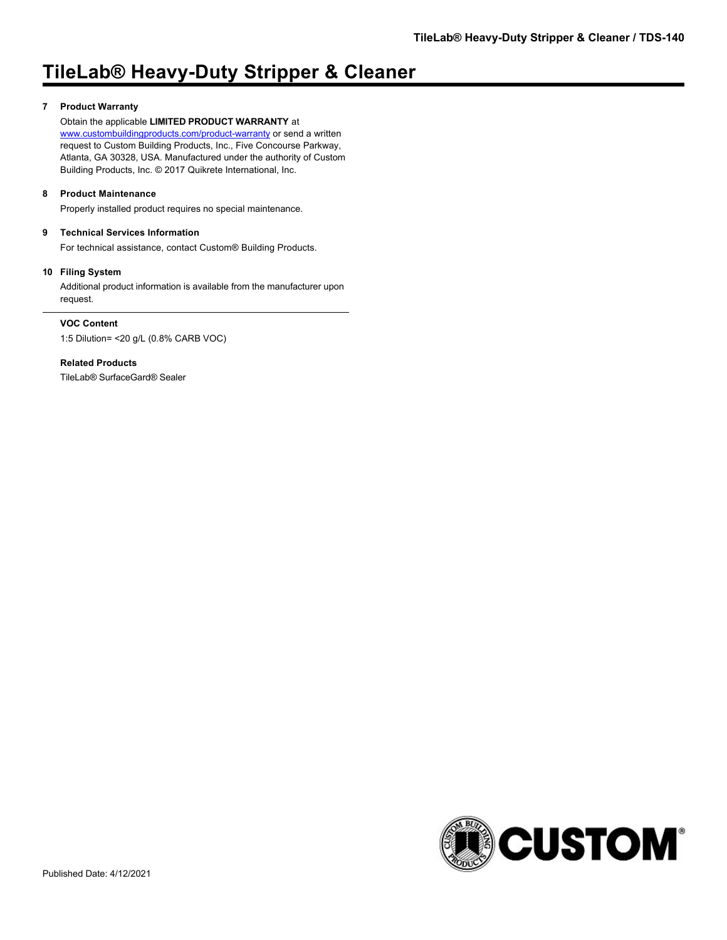# **TileLab® Heavy-Duty Stripper & Cleaner**

# **7 Product Warranty**

Obtain the applicable **LIMITED PRODUCT WARRANTY** at

[www.custombuildingproducts.com/product-warranty](http://www.custombuildingproducts.com/product-warranty) or send a written request to Custom Building Products, Inc., Five Concourse Parkway, Atlanta, GA 30328, USA. Manufactured under the authority of Custom Building Products, Inc. © 2017 Quikrete International, Inc.

# **8 Product Maintenance**

Properly installed product requires no special maintenance.

# **9 Technical Services Information**

For technical assistance, contact Custom® Building Products.

## **10 Filing System**

Additional product information is available from the manufacturer upon request.

# **VOC Content**

1:5 Dilution= <20 g/L (0.8% CARB VOC)

# **Related Products**

TileLab® SurfaceGard® Sealer